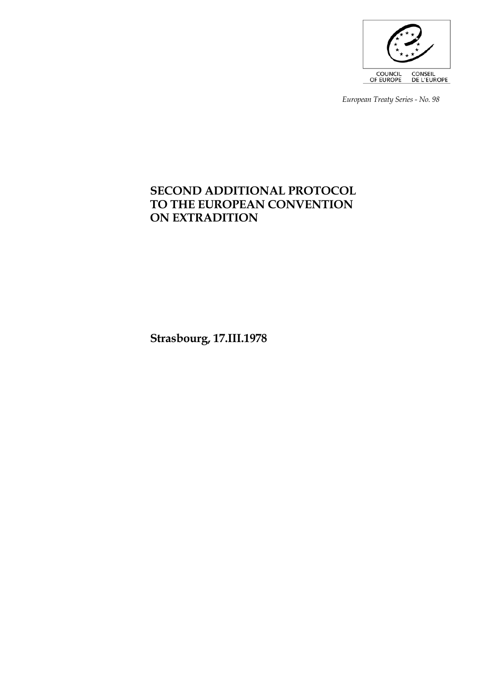

*European Treaty Series - No. 98* 

# **SECOND ADDITIONAL PROTOCOL TO THE EUROPEAN CONVENTION ON EXTRADITION**

**Strasbourg, 17.III.1978**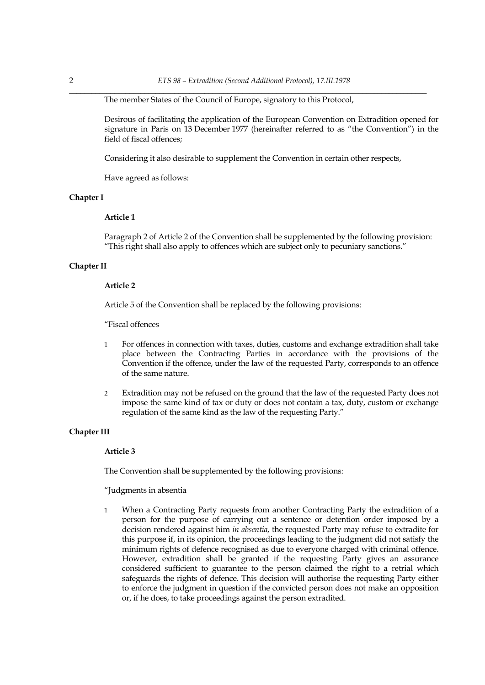The member States of the Council of Europe, signatory to this Protocol,

 Desirous of facilitating the application of the European Convention on Extradition opened for signature in Paris on 13 December 1977 (hereinafter referred to as "the Convention") in the field of fiscal offences;

Considering it also desirable to supplement the Convention in certain other respects,

Have agreed as follows:

### **Chapter I**

# **Article 1**

 Paragraph 2 of Article 2 of the Convention shall be supplemented by the following provision: "This right shall also apply to offences which are subject only to pecuniary sanctions."

# **Chapter II**

# **Article 2**

Article 5 of the Convention shall be replaced by the following provisions:

"Fiscal offences

- 1 For offences in connection with taxes, duties, customs and exchange extradition shall take place between the Contracting Parties in accordance with the provisions of the Convention if the offence, under the law of the requested Party, corresponds to an offence of the same nature.
- 2 Extradition may not be refused on the ground that the law of the requested Party does not impose the same kind of tax or duty or does not contain a tax, duty, custom or exchange regulation of the same kind as the law of the requesting Party."

# **Chapter III**

#### **Article 3**

The Convention shall be supplemented by the following provisions:

### "Judgments in absentia

 1 When a Contracting Party requests from another Contracting Party the extradition of a person for the purpose of carrying out a sentence or detention order imposed by a decision rendered against him *in absentia*, the requested Party may refuse to extradite for this purpose if, in its opinion, the proceedings leading to the judgment did not satisfy the minimum rights of defence recognised as due to everyone charged with criminal offence. However, extradition shall be granted if the requesting Party gives an assurance considered sufficient to guarantee to the person claimed the right to a retrial which safeguards the rights of defence. This decision will authorise the requesting Party either to enforce the judgment in question if the convicted person does not make an opposition or, if he does, to take proceedings against the person extradited.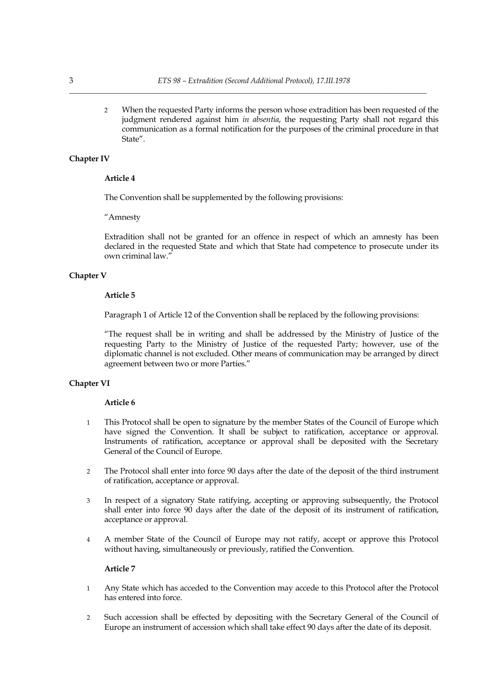2 When the requested Party informs the person whose extradition has been requested of the judgment rendered against him *in absentia*, the requesting Party shall not regard this communication as a formal notification for the purposes of the criminal procedure in that State".

# **Chapter IV**

### **Article 4**

The Convention shall be supplemented by the following provisions:

"Amnesty

 Extradition shall not be granted for an offence in respect of which an amnesty has been declared in the requested State and which that State had competence to prosecute under its own criminal law."

# **Chapter V**

### **Article 5**

Paragraph 1 of Article 12 of the Convention shall be replaced by the following provisions:

 "The request shall be in writing and shall be addressed by the Ministry of Justice of the requesting Party to the Ministry of Justice of the requested Party; however, use of the diplomatic channel is not excluded. Other means of communication may be arranged by direct agreement between two or more Parties."

# **Chapter VI**

# **Article 6**

- 1 This Protocol shall be open to signature by the member States of the Council of Europe which have signed the Convention. It shall be subject to ratification, acceptance or approval. Instruments of ratification, acceptance or approval shall be deposited with the Secretary General of the Council of Europe.
- 2 The Protocol shall enter into force 90 days after the date of the deposit of the third instrument of ratification, acceptance or approval.
- 3 In respect of a signatory State ratifying, accepting or approving subsequently, the Protocol shall enter into force 90 days after the date of the deposit of its instrument of ratification, acceptance or approval.
- 4 A member State of the Council of Europe may not ratify, accept or approve this Protocol without having, simultaneously or previously, ratified the Convention.

### **Article 7**

- 1 Any State which has acceded to the Convention may accede to this Protocol after the Protocol has entered into force.
- 2 Such accession shall be effected by depositing with the Secretary General of the Council of Europe an instrument of accession which shall take effect 90 days after the date of its deposit.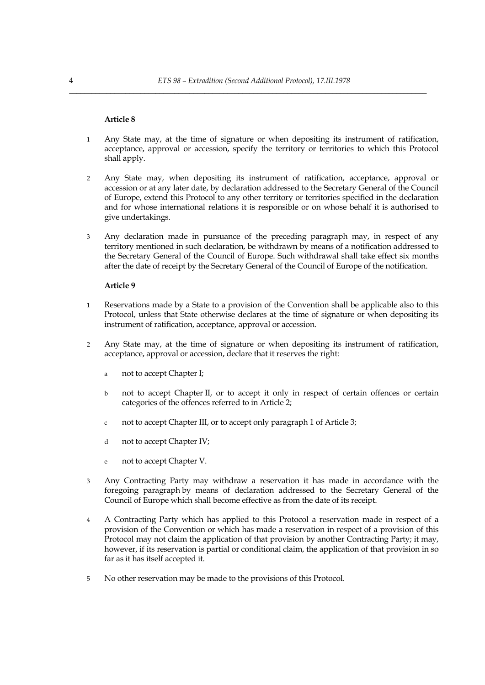# **Article 8**

- 1 Any State may, at the time of signature or when depositing its instrument of ratification, acceptance, approval or accession, specify the territory or territories to which this Protocol shall apply.
- 2 Any State may, when depositing its instrument of ratification, acceptance, approval or accession or at any later date, by declaration addressed to the Secretary General of the Council of Europe, extend this Protocol to any other territory or territories specified in the declaration and for whose international relations it is responsible or on whose behalf it is authorised to give undertakings.
- 3 Any declaration made in pursuance of the preceding paragraph may, in respect of any territory mentioned in such declaration, be withdrawn by means of a notification addressed to the Secretary General of the Council of Europe. Such withdrawal shall take effect six months after the date of receipt by the Secretary General of the Council of Europe of the notification.

### **Article 9**

- 1 Reservations made by a State to a provision of the Convention shall be applicable also to this Protocol, unless that State otherwise declares at the time of signature or when depositing its instrument of ratification, acceptance, approval or accession.
- 2 Any State may, at the time of signature or when depositing its instrument of ratification, acceptance, approval or accession, declare that it reserves the right:
	- a not to accept Chapter I;
	- b not to accept Chapter II, or to accept it only in respect of certain offences or certain categories of the offences referred to in Article 2;
	- c not to accept Chapter III, or to accept only paragraph 1 of Article 3;
	- d not to accept Chapter IV;
	- e not to accept Chapter V.
- 3 Any Contracting Party may withdraw a reservation it has made in accordance with the foregoing paragraph by means of declaration addressed to the Secretary General of the Council of Europe which shall become effective as from the date of its receipt.
- 4 A Contracting Party which has applied to this Protocol a reservation made in respect of a provision of the Convention or which has made a reservation in respect of a provision of this Protocol may not claim the application of that provision by another Contracting Party; it may, however, if its reservation is partial or conditional claim, the application of that provision in so far as it has itself accepted it.
- 5 No other reservation may be made to the provisions of this Protocol.